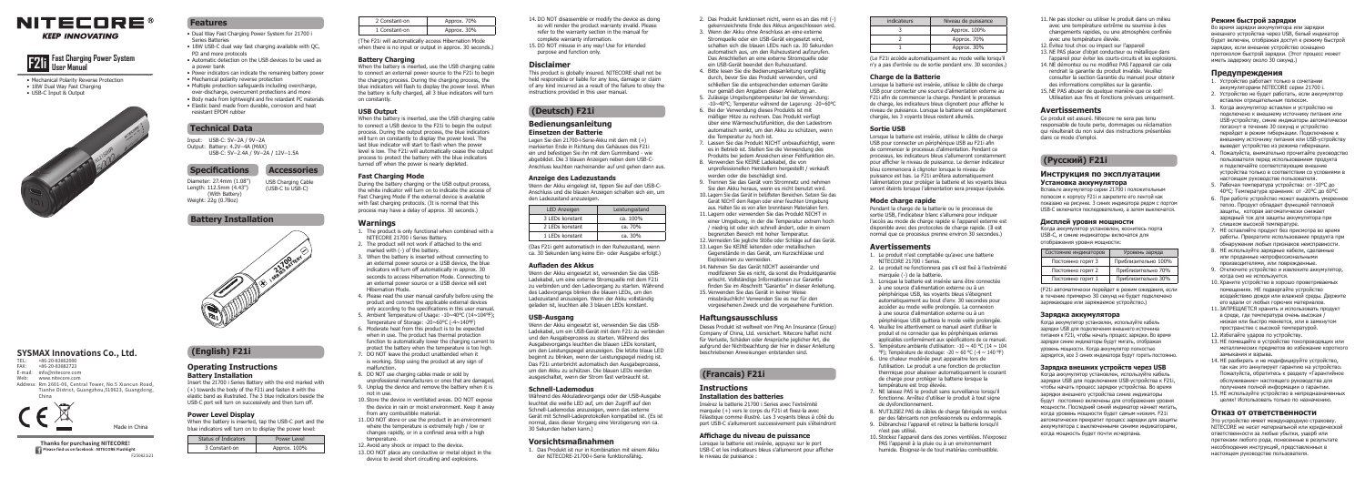



# **Features**

# **Technical Data**

**Battery Installation**

• Dual Way Fast Charging Power System for 21700 i Series Batteries • 18W USB-C dual way fast charging available with QC,

- PD and more protocols • Automatic detection on the USB devices to be used as
- a power bank • Power indicators can indicate the remaining battery power
- Mechanical polarity reverse protection
- Multiple protection safeguards including overcharge, over-discharge, overcurrent protections and more • Body made from lightweight and fire retardant PC materials • Elastic band made from durable, corrosion and heat
- resistant EPDM rubber

#### **Specifications Accessories** Diameter: 27.4mm (1.08") USB Charging Cable

Input: USB-C: 5V⎓2A / 9V⎓2A Output: Battery: 4.2V⎓4A (MAX) USB-C: 5V⎓2.4A / 9V⎓2A / 12V⎓1.5A

Length: 112.5mm (4.43") (With Battery) Weight: 22g (0.78oz) (USB-C to USB-C)



# **(English) F21i**

## **(Deutsch) F21i**

# **(Francais) F21i**

# **(Русский) F21i**

#### **Operating Instructions Battery Installation**

Insert the 21700 i Series Battery with the end marked with  $(+)$  towards the body of the F21i and fasten it with the elastic band as illustrated. The 3 blue indicators beside the USB-C port will turn on successively and then turn off.

Wenn der Akku eingelegt ist, tinnen Sie auf den USB-C-Anschluss und die blauen Anzeigen schalten sich ein, um den Ladezustand anzuzeigen.

## **Power Level Display**

When the battery is inserted, tap the USB-C port and the blue indicators will turn on to display the power level:

| <b>Status of Indicators</b> | Power Level  |
|-----------------------------|--------------|
| 3 Constant-on               | Approx. 100% |

- 14. DO NOT disassemble or modify the device as doing so will render the product warranty invalid. Please refer to the warranty section in the manual for complete warranty information. 15.DO NOT misuse in any way! Use for intended
- purpose and function only.

## **Disclaimer**

This product is globally insured. NITECORE shall not be held responsible or liable for any loss, damage or claim of any kind incurred as a result of the failure to obey the instructions provided in this user manual.

## **Bedienungsanleitung Einsetzen der Batterie**

Legen Sie den 21700-i-Serie-Akku mit dem mit (+) markierten Ende in Richtung des Gehäuses des F21i ein und befestigen Sie ihn mit dem Gummiband - wie abgebildet. Die 3 blauen Anzeigen neben dem USB-C-Anschluss leuchten nacheinander auf und gehen dann aus.

#### **Anzeige des Ladezustands**

| <b>LED Anzeigen</b> | Leistungsstand |
|---------------------|----------------|
| 3 LEDs konstant     | ca. 100%       |
| 2 LEDs konstant     | ca. 70%        |
| 1 I FDs konstant    | ca. 30%        |
|                     |                |

(Das F21i geht automatisch in den Ruhezustand, wenn ca. 30 Sekunden lang keine Ein- oder Ausgabe erfolgt.)

#### **Aufladen des Akkus**

Wenn der Akku eingesetzt ist, verwenden Sie das USB-Ladekabel, um eine externe Stromquelle mit dem F21i zu verbinden und den Ladevorgang zu starten. Während des Ladevorgangs blinken die blauen LEDs, um den Ladezustand anzuzeigen. Wenn der Akku vollständig geladen ist, leuchten alle 3 blauen LEDs konstant.

#### **USB-Ausgang**

Wenn der Akku eingesetzt ist, verwenden Sie das USB-Ladekabel, um ein USB-Gerät mit dem F21i zu verbinden und den Ausgabeprozess zu starten. Während des Ausgabevorgangs leuchten die blauen LEDs konstant, um den Leistungspegel anzuzeigen. Die letzte blaue LED beginnt zu blinken, wenn der Leistungspegel niedrig ist. Das F21i unterbricht automatisch den Ausgabeprozess, um den Akku zu schützen. Die blauen LEDs werden ausgeschaltet, wenn der Strom fast verbraucht ist.

#### **Schnell-Lademodus**

Während des Akkuladevorgangs oder der USB-Ausgabe leuchtet die weiße LED auf, um den Zugriff auf den Schnell-Lademodus anzuzeigen, wenn das externe Gerät mit Schnell-Ladeprotokollen kompatibel ist. (Es ist normal, dass dieser Vorgang eine Verzögerung von ca. 30 Sekunden haben kann.)

## **Vorsichtsmaßnahmen**

1. Das Produkt ist nur in Kombination mit einem Akku der NITECORE-21700-i-Serie funktionsfähig.

- 2. Das Produkt funktioniert nicht, wenn es an das mit (-) gekennzeichnete Ende des Akkus angeschlossen wird.
- 3. Wenn der Akku ohne Anschluss an eine externe Stromquelle oder ein USB-Gerät eingesetzt wird, schalten sich die blauen LEDs nach ca. 30 Sekunden automatisch aus, um den Ruhezustand aufzurufen. Das Anschließen an eine externe Stromquelle oder ein USB-Gerät beendet den Ruhezustand.
- 4. Bitte lesen Sie die Bedienungsanleitung sorgfältig durch, bevor Sie das Produkt verwenden, und schließen Sie die entsprechenden externen Geräte nur gemäß den Angaben dieser Anleitung an.
- 5. Zulässige Umgebungstemperatur bei der Verwendung: -10~40℃; Temperatur während der Lagerung: -20~60℃
- 6. Bei der Verwendung dieses Produkts ist mit mäßiger Hitze zu rechnen. Das Produkt verfügt über eine Wärmeschutzfunktion, die den Ladestrom automatisch senkt, um den Akku zu schützen, wenn die Temperatur zu hoch ist.
- 7. Lassen Sie das Produkt NICHT unbeaufsichtigt, wenn es in Betrieb ist. Stellen Sie die Verwendung des Produkts bei jedem Anzeichen einer Fehlfunktion ein. 8. Verwenden Sie KEINE Ladekabel, die von
- unprofessionellen Herstellern hergestellt / verkauft werden oder die beschädigt sind
- 9. Trennen Sie das Gerät vom Stromnetz und nehmen Sie den Akku heraus, wenn es nicht benutzt wird.
- 10. Lagern Sie das Gerät in belüfteten Bereichen. Setzen Sie das Gerät NICHT dem Regen oder einer feuchten Umgebung aus. Halten Sie es von allen brennbaren Materialien fern.
- 11. Lagern oder verwenden Sie das Produkt NICHT in einer Umgebung, in der die Temperatur extrem hoch / niedrig ist oder sich schnell ändert, oder in einem begrenzten Bereich mit hoher Temperatur.
- 12. Vermeiden Sie jegliche Stöße oder Schläge auf das Gerät. 13. Legen Sie KEINE leitenden oder metallischen Gegenstände in das Gerät, um Kurzschlüsse und Explosionen zu vermeiden.
- 14. Nehmen Sie das Gerät NICHT auseinander und modifizieren Sie es nicht, da sonst die Produktgarantie erlischt. Vollständige Informationen zur Garantie finden Sie im Abschnitt "Garantie" in dieser Anleitung.
- 15. Verwenden Sie das Gerät in keiner Weise missbräuchlich! Verwenden Sie es nur für den vorgesehenen Zweck und die vorgesehene Funktion.

15. NE PAS abuser de quelque manière que ce soit! Utilisation aux fins et fonctions prévues uniquement.

## **Haftungsausschluss**

TEL: +86-20-83862000<br>FAX: +86-20-83882723 FAX: +86-20-83882723 E-mail: info@nitecore.com Web: www.nitecore.com Address: Rm 2601-06, Central Tower, No.5 Xiancun Road, Tianhe District, Guangzhou,510623, Guangdong, China

Dieses Produkt ist weltweit von Ping An Insurance (Group) Company of China, Ltd. versichert. Nitecore haftet nicht für Verluste, Schäden oder Ansprüche jeglicher Art, die aufgrund der Nichtbeachtung der hier in dieser Anleitung beschriebenen Anweisungen entstanden sind.

#### **Instructions Installation des batteries**

When the battery is inserted, use the USB charging cable to connect an external power source to the F21i to begin the charging process. During the charging process, the blue indicators will flash to display the power level. When the battery is fully charged, all 3 blue indicators will turn on constantly.

> Insérez la batterie 21700 i Series avec l'extrémité marquée (+) vers le corps du F21i et fixez-la avec l'élastique comme illustré. Les 3 voyants bleus à côté du port USB-C s'allumeront successivement puis s'éteindront

#### **Affichage du niveau de puissance**

Lorsque la batterie est insérée, appuyez sur le port USB-C et les indicateurs bleus s'allumeront pour afficher le niveau de puissance :

1. The product is only functional when combined with a NITECORE 21700 i Series Battery. 2. The product will not work if attached to the end marked with (-) of the battery

- Mechanical Polarity Reverse Protection • 18W Dual Way Fast Charging
- USB-C Input & Output
- 



#### **Инструкция по эксплуатации Установка аккумулятора**

Вставьте аккумулятор серии 21700 i положительным полюсом к корпусу F21i и закрепите его лентой как показано на рисунке. 3 синих индикатора рядом с портом USB-C включатся последовательно, а затем выключатся.

#### **Дисплей уровня мощности**

Когда аккумулятор установлен, коснитесь порта USB-C, и синие индикаторы включатся для отображения уровня мощности:

| Состояние индикаторов | Уровень заряда      |
|-----------------------|---------------------|
| Постоянно горят 3     | Приблизительно 100% |
| Постоянно горят 2     | Приблизительно 70%  |
| Постоянно горит 1     | Приблизительно 30%  |

(F21i автоматически перейдет в режим ожидания, если в течение примерно 30 секунд не будет подключено заряжающее или заряжаемое устройство.)

#### **Зарядка аккумулятора**

Когда аккумулятор установлен, используйте кабель зарядки USB для подключения внешнего источника питания к F21i, чтобы начать процесс зарядки. Во время зарядки синие индикаторы будут мигать, отображая уровень мощности. Когда аккумулятор полностью зарядится, все 3 синих индикатора будут гореть постоянно.

#### **Зарядка внешних устройств через USB**

Lorsque la batterie est insérée, utilisez le câble de charge USB pour connecter un périphérique USB au F21i afin de commencer le processus d'alimentation. Pendant ce processus, les indicateurs bleus s'allumeront constamment pour afficher le niveau de puissance. Le dernier indicateur bleu commencera à clignoter lorsque le niveau de puissance est bas. Le F21i arrêtera automatiquement l'alimentation pour protéger la batterie et les voyants bleus seront éteints lorsque l'alimentation sera presque épuisée.

> Когда аккумулятор установлен, используйте кабель зарядки USB для подключения USB-устройства к F21i, чтобы начать процесс зарядки устройства. Во время зарядки внешнего устройства синие индикаторы будут постоянно включены для отображения уровня мощности. Последний синий индикатор начнет мигать, когда уровень мощности будет самым низким. F21i автоматически прекратит процесс зарядки для защиты аккумулятора с выключенными синими индикаторами, когда мощность будет почти исчерпана.

## **Режим быстрой зарядки**

Во время зарядки аккумулятора или зарядки внешнего устройства через USB, белый индикатор будет включен, отображая доступ к режиму быстрой зарядки, если внешнее устройство оснащено протоколом быстрой зарядки. (Этот процесс может иметь задержку около 30 секунд.)

### **Предупреждения**

7. NE laissez PAS le produit sans surveillance lorsqu'il fonctionne. Arrêtez d'utiliser le produit à tout signe

8. N'UTILISEZ PAS de câbles de charge fabriqués ou vendus par des fabricants non professionnels ou endommagés. 9. Débranchez l'appareil et retirez la batterie lorsqu'il

- 1. Устройство работает только в сочетании аккумуляторами NITECORE серии 21700 i.
- 2. Устройство не будет работать, если аккумулятор вставлен отрицательным полюсом.
- 3. Когда аккумулятор вставлен и устройство не подключено к внешнему источнику питания или USB-устройству, синие индикаторы автоматически погаснут в течение 30 секунд и устройство перейдет в режим гибернации. Подключение к внешнему источнику питания или USB-устройству выведет устройство из режима гибернации.
- 4. Пожалуйста, внимательно прочитайте руководство пользователя перед использованием продукта и подключайте соответствующие внешние устройства только в соответствии со условиями в настоящем руководстве пользователя.
- 5. Рабочая температура устройства: от -10℃ до 40℃; Температура хранения: от -20℃ до 60℃
- 6. При работе устройство может выделять умеренное тепло. Продукт обладает функцией тепловой защиты, которая автоматически снижает зарядный ток для защиты аккумулятора при слишком высокой температуре.
- 7. НЕ оставляйте продукт без присмотра во время работы. Прекратите использование продукта при обнаружении любых признаков неисправности.
- 8. НЕ используйте зарядные кабели, сделанные или проданные непрофессиональными производителями, или поврежденные.
- 9. Отключите устройство и извлеките аккумулятор, когда оно не используется.
- 10. Храните устройство в хорошо проветриваемых помещениях. НЕ подвергайте устройство воздействию дождя или влажной среды. Держите его вдали от любых горючих материалов.
- 11. ЗАПРЕЩАЕТСЯ хранить и использовать продукт в среде, где температура очень высокая / низкая или быстро меняется, или в замкнутом пространстве с высокой температурой.
- 12.Избегайте ударов по устройству.
- 13.НЕ помещайте в устройство токопроводящих или металлических предметов во избежание короткого замыкания и взрыва.
- 14. НЕ разбирать и не модифицируйте устройство, так как это аннулирует гарантию на устройство. Пожалуйста, обратитесь к разделу «Гарантийное обслуживание» настоящего руководства для получения полной информации о гарантии.
- 15.НЕ используйте устройство в непредназначенных целях! Использовать только по назначению.

## **Отказ от ответственности**

Это устройство имеет международную страховку. NITECORE не несет материальной или юридической ответственности за любые убытки, ущерб или претензии любого рода, понесенные в результате несоблюдения инструкций, представленных в настоящем руководстве пользователя.

11.Ne pas stocker ou utiliser le produit dans un milieu avec une température extrême ou soumise à des changements rapides, ou une atmosphère confinée avec une température élevée.

12. Évitez tout choc ou impact sur l'appareil 13.NE PAS placer d'objet conducteur ou métallique dans l'appareil pour éviter les courts-circuits et les explosions. 14. NE démontez ou ne modifiez PAS l'appareil car cela rendrait la garantie du produit invalide. Veuillez consulter la section Garantie du manuel pour obtenir

des informations complètes sur la garantie.

## **Avertissements**

Ce produit est assuré. Nitecore ne sera pas tenu responsable de toute perte, dommages ou réclamation qui résulterait du non suivi des instructions présentées dans ce mode d'emploi.

# **SYSMAX Innovations Co., Ltd.**

**Thanks for purchasing NITECORE! Please find us on facebook : NITECORE Flashlight** F250821i21



| 2 Constant-on | Approx. 70% |
|---------------|-------------|
| 1 Constant-on | Approx. 30% |
|               |             |

(The F21i will automatically access Hibernation Mode when there is no input or output in approx. 30 seconds.)

## **Battery Charging**

## **USB Output**

When the battery is inserted, use the USB charging cable to connect a USB device to the F21i to begin the output process. During the output process, the blue indicators will turn on constantly to display the power level. The last blue indicator will start to flash when the power level is low. The F21i will automatically cease the output process to protect the battery with the blue indicators turned off when the power is nearly depleted.

#### **Fast Charging Mode**

During the battery charging or the USB output process, the white indicator will turn on to indicate the access of Fast Charging Mode if the external device is available with fast charging protocols. (It is normal that this process may have a delay of approx. 30 seconds.)

## **Warnings**

3. When the battery is inserted without connecting to an external power source or a USB device, the blue indicators will turn off automatically in approx. 30 seconds to access Hibernation Mode. Connecting to an external power source or a USB device will exit Hibernation Mode.

- 4. Please read the user manual carefully before using the product and connect the applicable external devices only according to the specifications in this user manual. 5. Ambient Temperature of Usage: -10~40℃ (14~104℉);
- Temperature of Storage: -20~60℃ (-4~140℉) 6. Moderate heat from this product is to be expected
- when in use. The product has thermal protection function to automatically lower the charging current to protect the battery when the temperature is too high.
- 7. DO NOT leave the product unattended when it is working. Stop using the product at any sign of malfunction.
- 8. DO NOT use charging cables made or sold by unprofessional manufacturers or ones that are damaged. 9. Unplug the device and remove the battery when it is not in use.
- 10. Store the device in ventilated areas. DO NOT expose the device in rain or moist environment. Keep it away from any combustible material.
- 11.DO NOT store or use the product in an environment where the temperature is extremely high / low or changes rapidly, or in a confined area with a high temperature.
- 12. Avoid any shock or impact to the device. 13.DO NOT place any conductive or metal object in the
- device to avoid short circuiting and explosions.

| <i>indicateurs</i> | Niveau de puissance |
|--------------------|---------------------|
|                    | Approx. 100%        |
|                    | Approx. 70%         |
|                    | Approx. 30%         |

(Le F21i accède automatiquement au mode veille lorsqu'il n'y a pas d'entrée ou de sortie pendant env. 30 secondes.)

## **Charge de la Batterie**

Lorsque la batterie est insérée, utilisez le câble de charge USB pour connecter une source d'alimentation externe au F21i afin de commencer la charge. Pendant le processus de charge, les indicateurs bleus clignotent pour afficher le niveau de puissance. Lorsque la batterie est complètement chargée, les 3 voyants bleus restent allumés.

#### **Sortie USB**

## **Mode charge rapide**

Pendant la charge de la batterie ou le processus de sortie USB, l'indicateur blanc s'allumera pour indiquer l'accès au mode de charge rapide si l'appareil externe est disponible avec des protocoles de charge rapide. (Il est normal que ce processus prenne environ 30 secondes.)

## **Avertissements**

- 1. Le produit n'est comptabile qu'avec une batterie NITECORE 21700 i Series.
- 2. Le produit ne fonctionnera pas s'il est fixé à l'extrémité marquée (-) de la batterie.
- 3. Lorsque la batterie est insérée sans être connectée à une source d'alimentation externe ou à un périphérique USB, les voyants bleus s'éteignent automatiquement au bout d'env. 30 secondes pour accéder au mode veille prolongée. La connexion à une source d'alimentation externe ou à un périphérique USB quittera le mode veille prolongée.

4. Veuillez lire attentivement ce manuel avant d'utiliser le produit et ne connecter que les périphériques externes applicables conformément aux spécifications de ce manuel. 5. Température ambiante d'utilisation: -10 ~ 40 ℃ (14 ~ 104 ℉); Température de stockage: -20 ~ 60 ℃ (-4 ~ 140 ℉) 6. Une chaleur modérée peut apparaitre lors de l'utilisation. Le produit a une fonction de protection thermique pour abaisser automatiquement le courant de charge pour protéger la batterie lorsque la température est trop élevée.

de dysfonctionnement.

n'est pas utilisé.

10. Stockez l'appareil dans des zones ventilées. N'exposez PAS l'appareil à la pluie ou à un environnement humide. Éloignez-le de tout matériau combustible.